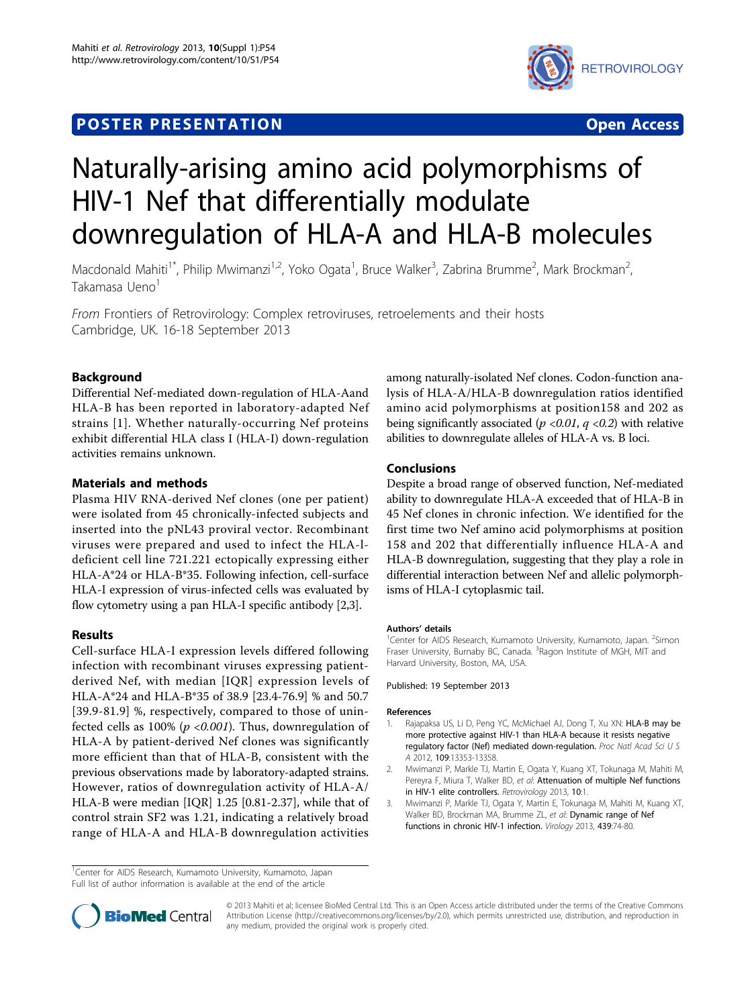# **POSTER PRESENTATION CONSUMING THE SERVICE OPEN ACCESS**



# Naturally-arising amino acid polymorphisms of HIV-1 Nef that differentially modulate downregulation of HLA-A and HLA-B molecules

Macdonald Mahiti<sup>1\*</sup>, Philip Mwimanzi<sup>1,2</sup>, Yoko Ogata<sup>1</sup>, Bruce Walker<sup>3</sup>, Zabrina Brumme<sup>2</sup>, Mark Brockman<sup>2</sup> , Takamasa Ueno<sup>1</sup>

From Frontiers of Retrovirology: Complex retroviruses, retroelements and their hosts Cambridge, UK. 16-18 September 2013

## Background

Differential Nef-mediated down-regulation of HLA-Aand HLA-B has been reported in laboratory-adapted Nef strains [1]. Whether naturally-occurring Nef proteins exhibit differential HLA class I (HLA-I) down-regulation activities remains unknown.

#### Materials and methods

Plasma HIV RNA-derived Nef clones (one per patient) were isolated from 45 chronically-infected subjects and inserted into the pNL43 proviral vector. Recombinant viruses were prepared and used to infect the HLA-ldeficient cell line 721.221 ectopically expressing either HLA-A\*24 or HLA-B\*35. Following infection, cell-surface HLA-I expression of virus-infected cells was evaluated by flow cytometry using a pan HLA-I specific antibody [2,3].

#### Results

Cell-surface HLA-I expression levels differed following infection with recombinant viruses expressing patientderived Nef, with median [IQR] expression levels of HLA-A\*24 and HLA-B\*35 of 38.9 [23.4-76.9] % and 50.7 [39.9-81.9] %, respectively, compared to those of uninfected cells as 100% ( $p < 0.001$ ). Thus, downregulation of HLA-A by patient-derived Nef clones was significantly more efficient than that of HLA-B, consistent with the previous observations made by laboratory-adapted strains. However, ratios of downregulation activity of HLA-A/ HLA-B were median [IQR] 1.25 [0.81-2.37], while that of control strain SF2 was 1.21, indicating a relatively broad range of HLA-A and HLA-B downregulation activities

among naturally-isolated Nef clones. Codon-function analysis of HLA-A/HLA-B downregulation ratios identified amino acid polymorphisms at position158 and 202 as being significantly associated ( $p$  <0.01,  $q$  <0.2) with relative abilities to downregulate alleles of HLA-A vs. B loci.

### Conclusions

Despite a broad range of observed function, Nef-mediated ability to downregulate HLA-A exceeded that of HLA-B in 45 Nef clones in chronic infection. We identified for the first time two Nef amino acid polymorphisms at position 158 and 202 that differentially influence HLA-A and HLA-B downregulation, suggesting that they play a role in differential interaction between Nef and allelic polymorphisms of HLA-I cytoplasmic tail.

#### Authors' details <sup>1</sup>

Center for AIDS Research, Kumamoto University, Kumamoto, Japan. <sup>2</sup>Simon Fraser University, Burnaby BC, Canada. <sup>3</sup>Ragon Institute of MGH, MIT and Harvard University, Boston, MA, USA.

Published: 19 September 2013

#### References

- Rajapaksa US, Li D, Peng YC, McMichael AJ, Dong T, Xu XN: HLA-B may be more protective against HIV-1 than HLA-A because it resists negative regulatory factor (Nef) mediated down-regulation. Proc Natl Acad Sci U S A 2012, 109:13353-13358.
- 2. Mwimanzi P, Markle TJ, Martin E, Ogata Y, Kuang XT, Tokunaga M, Mahiti M, Pereyra F, Miura T, Walker BD, et al: Attenuation of multiple Nef functions in HIV-1 elite controllers. Retrovirology 2013, 10:1.
- 3. Mwimanzi P, Markle TJ, Ogata Y, Martin E, Tokunaga M, Mahiti M, Kuang XT, Walker BD, Brockman MA, Brumme ZL, et al: Dynamic range of Nef functions in chronic HIV-1 infection. Virology 2013, 439:74-80.

<sup>&</sup>lt;sup>1</sup>Center for AIDS Research, Kumamoto University, Kumamoto, Japan Full list of author information is available at the end of the article



© 2013 Mahiti et al; licensee BioMed Central Ltd. This is an Open Access article distributed under the terms of the Creative Commons Attribution License [\(http://creativecommons.org/licenses/by/2.0](http://creativecommons.org/licenses/by/2.0)), which permits unrestricted use, distribution, and reproduction in any medium, provided the original work is properly cited.